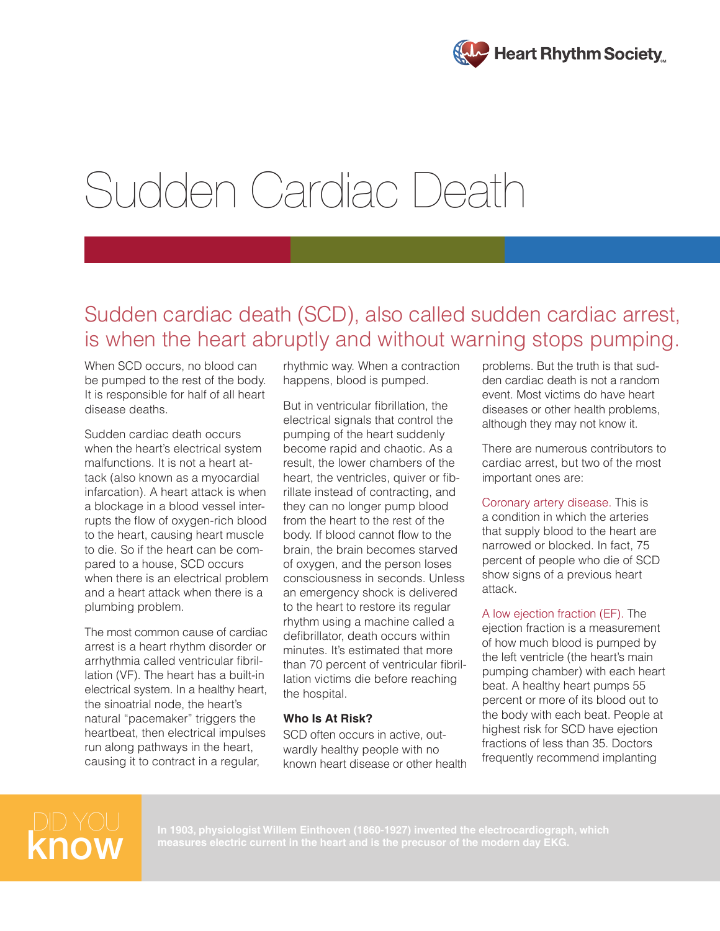

# Sudden Cardiac Death

## Sudden cardiac death (SCD), also called sudden cardiac arrest, is when the heart abruptly and without warning stops pumping.

When SCD occurs, no blood can be pumped to the rest of the body. It is responsible for half of all heart disease deaths.

Sudden cardiac death occurs when the heart's electrical system malfunctions. It is not a heart attack (also known as a myocardial infarcation). A heart attack is when a blockage in a blood vessel interrupts the flow of oxygen-rich blood to the heart, causing heart muscle to die. So if the heart can be compared to a house, SCD occurs when there is an electrical problem and a heart attack when there is a plumbing problem.

The most common cause of cardiac arrest is a heart rhythm disorder or arrhythmia called ventricular fibrillation (VF). The heart has a built-in electrical system. In a healthy heart, the sinoatrial node, the heart's natural "pacemaker" triggers the heartbeat, then electrical impulses run along pathways in the heart, causing it to contract in a regular,

rhythmic way. When a contraction happens, blood is pumped.

But in ventricular fibrillation, the electrical signals that control the pumping of the heart suddenly become rapid and chaotic. As a result, the lower chambers of the heart, the ventricles, quiver or fibrillate instead of contracting, and they can no longer pump blood from the heart to the rest of the body. If blood cannot flow to the brain, the brain becomes starved of oxygen, and the person loses consciousness in seconds. Unless an emergency shock is delivered to the heart to restore its regular rhythm using a machine called a defibrillator, death occurs within minutes. It's estimated that more than 70 percent of ventricular fibrillation victims die before reaching the hospital.

#### **Who Is At Risk?**

SCD often occurs in active, outwardly healthy people with no known heart disease or other health

problems. But the truth is that sudden cardiac death is not a random event. Most victims do have heart diseases or other health problems, although they may not know it.

There are numerous contributors to cardiac arrest, but two of the most important ones are:

Coronary artery disease. This is a condition in which the arteries that supply blood to the heart are narrowed or blocked. In fact, 75 percent of people who die of SCD show signs of a previous heart attack.

A low ejection fraction (EF). The ejection fraction is a measurement of how much blood is pumped by the left ventricle (the heart's main pumping chamber) with each heart beat. A healthy heart pumps 55 percent or more of its blood out to the body with each beat. People at highest risk for SCD have ejection fractions of less than 35. Doctors frequently recommend implanting



**measures electric current in the heart and is the precusor of the modern day EKG.**